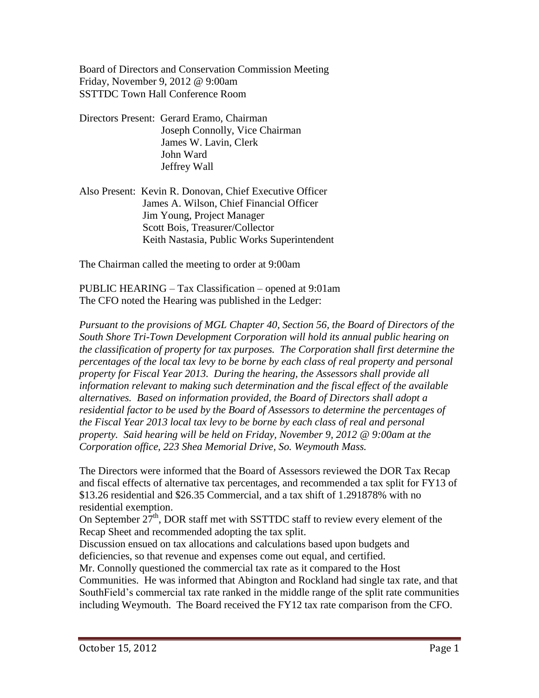Board of Directors and Conservation Commission Meeting Friday, November 9, 2012 @ 9:00am SSTTDC Town Hall Conference Room

- Directors Present: Gerard Eramo, Chairman Joseph Connolly, Vice Chairman James W. Lavin, Clerk John Ward Jeffrey Wall
- Also Present: Kevin R. Donovan, Chief Executive Officer James A. Wilson, Chief Financial Officer Jim Young, Project Manager Scott Bois, Treasurer/Collector Keith Nastasia, Public Works Superintendent

The Chairman called the meeting to order at 9:00am

PUBLIC HEARING – Tax Classification – opened at 9:01am The CFO noted the Hearing was published in the Ledger:

*Pursuant to the provisions of MGL Chapter 40, Section 56, the Board of Directors of the South Shore Tri-Town Development Corporation will hold its annual public hearing on the classification of property for tax purposes. The Corporation shall first determine the percentages of the local tax levy to be borne by each class of real property and personal property for Fiscal Year 2013. During the hearing, the Assessors shall provide all information relevant to making such determination and the fiscal effect of the available alternatives. Based on information provided, the Board of Directors shall adopt a residential factor to be used by the Board of Assessors to determine the percentages of the Fiscal Year 2013 local tax levy to be borne by each class of real and personal property. Said hearing will be held on Friday, November 9, 2012 @ 9:00am at the Corporation office, 223 Shea Memorial Drive, So. Weymouth Mass.*

The Directors were informed that the Board of Assessors reviewed the DOR Tax Recap and fiscal effects of alternative tax percentages, and recommended a tax split for FY13 of \$13.26 residential and \$26.35 Commercial, and a tax shift of 1.291878% with no residential exemption.

On September  $27<sup>th</sup>$ , DOR staff met with SSTTDC staff to review every element of the Recap Sheet and recommended adopting the tax split.

Discussion ensued on tax allocations and calculations based upon budgets and deficiencies, so that revenue and expenses come out equal, and certified.

Mr. Connolly questioned the commercial tax rate as it compared to the Host Communities. He was informed that Abington and Rockland had single tax rate, and that SouthField's commercial tax rate ranked in the middle range of the split rate communities including Weymouth. The Board received the FY12 tax rate comparison from the CFO.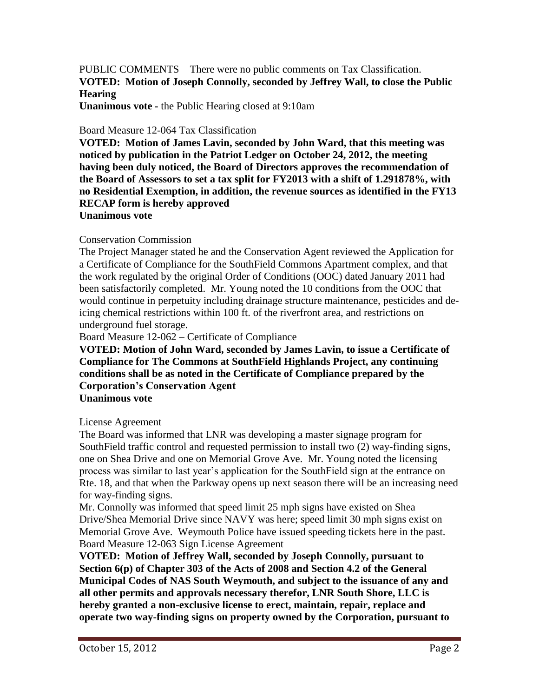PUBLIC COMMENTS – There were no public comments on Tax Classification. **VOTED: Motion of Joseph Connolly, seconded by Jeffrey Wall, to close the Public Hearing**

**Unanimous vote -** the Public Hearing closed at 9:10am

## Board Measure 12-064 Tax Classification

**VOTED: Motion of James Lavin, seconded by John Ward, that this meeting was noticed by publication in the Patriot Ledger on October 24, 2012, the meeting having been duly noticed, the Board of Directors approves the recommendation of the Board of Assessors to set a tax split for FY2013 with a shift of 1.291878%, with no Residential Exemption, in addition, the revenue sources as identified in the FY13 RECAP form is hereby approved**

**Unanimous vote**

## Conservation Commission

The Project Manager stated he and the Conservation Agent reviewed the Application for a Certificate of Compliance for the SouthField Commons Apartment complex, and that the work regulated by the original Order of Conditions (OOC) dated January 2011 had been satisfactorily completed. Mr. Young noted the 10 conditions from the OOC that would continue in perpetuity including drainage structure maintenance, pesticides and deicing chemical restrictions within 100 ft. of the riverfront area, and restrictions on underground fuel storage.

Board Measure 12-062 – Certificate of Compliance

**VOTED: Motion of John Ward, seconded by James Lavin, to issue a Certificate of Compliance for The Commons at SouthField Highlands Project, any continuing conditions shall be as noted in the Certificate of Compliance prepared by the Corporation's Conservation Agent Unanimous vote**

## License Agreement

The Board was informed that LNR was developing a master signage program for SouthField traffic control and requested permission to install two (2) way-finding signs, one on Shea Drive and one on Memorial Grove Ave. Mr. Young noted the licensing process was similar to last year's application for the SouthField sign at the entrance on Rte. 18, and that when the Parkway opens up next season there will be an increasing need for way-finding signs.

Mr. Connolly was informed that speed limit 25 mph signs have existed on Shea Drive/Shea Memorial Drive since NAVY was here; speed limit 30 mph signs exist on Memorial Grove Ave. Weymouth Police have issued speeding tickets here in the past. Board Measure 12-063 Sign License Agreement

**VOTED: Motion of Jeffrey Wall, seconded by Joseph Connolly, pursuant to Section 6(p) of Chapter 303 of the Acts of 2008 and Section 4.2 of the General Municipal Codes of NAS South Weymouth, and subject to the issuance of any and all other permits and approvals necessary therefor, LNR South Shore, LLC is hereby granted a non-exclusive license to erect, maintain, repair, replace and operate two way-finding signs on property owned by the Corporation, pursuant to**